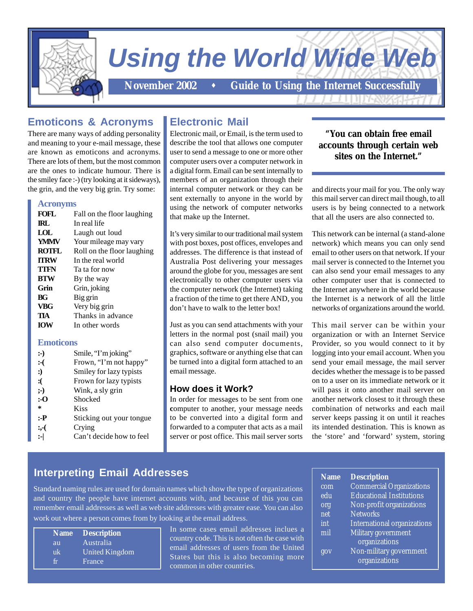

# *Using the World Wide Web*

November 2002 **...** Guide to Using the Internet Successfully

# **Emoticons & Acronyms**

There are many ways of adding personality and meaning to your e-mail message, these are known as emoticons and acronyms. There are lots of them, but the most common are the ones to indicate humour. There is the smiley face :-) (try looking at it sideways), the grin, and the very big grin. Try some:

#### **Acronyms**

| FOFL             | Fall on the floor laughing |  |
|------------------|----------------------------|--|
| <b>IRL</b>       | In real life               |  |
| LOL              | Laugh out loud             |  |
| <b>YMMV</b>      | Your mileage may vary      |  |
| <b>ROTFL</b>     | Roll on the floor laughing |  |
| <b>TTRW</b>      | In the real world          |  |
| TTFN             | Ta ta for now              |  |
| <b>BTW</b>       | By the way                 |  |
| Grin             | Grin, joking               |  |
| BG               | Big grin                   |  |
| <b>VBG</b>       | Very big grin              |  |
| TIA              | Thanks in advance          |  |
| <b>IOW</b>       | In other words             |  |
| <b>Emoticons</b> |                            |  |

| $:$ )  | Smile, "I'm joking"      |
|--------|--------------------------|
| $:-($  | Frown, "I'm not happy"   |
| :)     | Smiley for lazy typists  |
| : (    | Frown for lazy typists   |
| ;      | Wink, a sly grin         |
| :-0    | Shocked                  |
| ÷      | <b>Kiss</b>              |
| :-Р    | Sticking out your tongue |
| $: -($ | Crying                   |
| :-l    | Can't decide how to feel |
|        |                          |

# **Electronic Mail**

Electronic mail, or Email, is the term used to describe the tool that allows one computer user to send a message to one or more other computer users over a computer network in a digital form. Email can be sent internally to members of an organization through their internal computer network or they can be sent externally to anyone in the world by using the network of computer networks that make up the Internet.

It's very similar to our traditional mail system with post boxes, post offices, envelopes and addresses. The difference is that instead of Australia Post delivering your messages around the globe for you, messages are sent electronically to other computer users via the computer network (the Internet) taking a fraction of the time to get there AND, you don't have to walk to the letter box!

Just as you can send attachments with your letters in the normal post (snail mail) you can also send computer documents, graphics, software or anything else that can be turned into a digital form attached to an email message.

## **How does it Work?**

In order for messages to be sent from one computer to another, your message needs to be converted into a digital form and forwarded to a computer that acts as a mail server or post office. This mail server sorts

## **"You can obtain free email accounts through certain web sites on the Internet."**

and directs your mail for you. The only way this mail server can direct mail though, to all users is by being connected to a network that all the users are also connected to.

This network can be internal (a stand-alone network) which means you can only send email to other users on that network. If your mail server is connected to the Internet you can also send your email messages to any other computer user that is connected to the Internet anywhere in the world because the Internet is a network of all the little networks of organizations around the world.

This mail server can be within your organization or with an Internet Service Provider, so you would connect to it by logging into your email account. When you send your email message, the mail server decides whether the message is to be passed on to a user on its immediate network or it will pass it onto another mail server on another network closest to it through these combination of networks and each mail server keeps passing it on until it reaches its intended destination. This is known as the 'store' and 'forward' system, storing

# **Interpreting Email Addresses**

Standard naming rules are used for domain names which show the type of organizations and country the people have internet accounts with, and because of this you can remember email addresses as well as web site addresses with greater ease. You can also work out where a person comes from by looking at the email address.

|    | Name Description |
|----|------------------|
| au | Australia        |
| uk | United Kingdom   |
|    | France           |

In some cases email addresses inclues a country code. This is not often the case with email addresses of users from the United States but this is also becoming more common in other countries.

| <b>Name</b> | <b>Description</b>                 |
|-------------|------------------------------------|
| com         | <b>Commercial Organizations</b>    |
| edu         | <b>Educational Institutions</b>    |
| org         | Non-profit organizations           |
| net         | <b>Networks</b>                    |
| int         | <b>International organizations</b> |
| mil         | Military government                |
|             | organizations                      |
| gov         | Non-military government            |
|             | organizations                      |
|             |                                    |